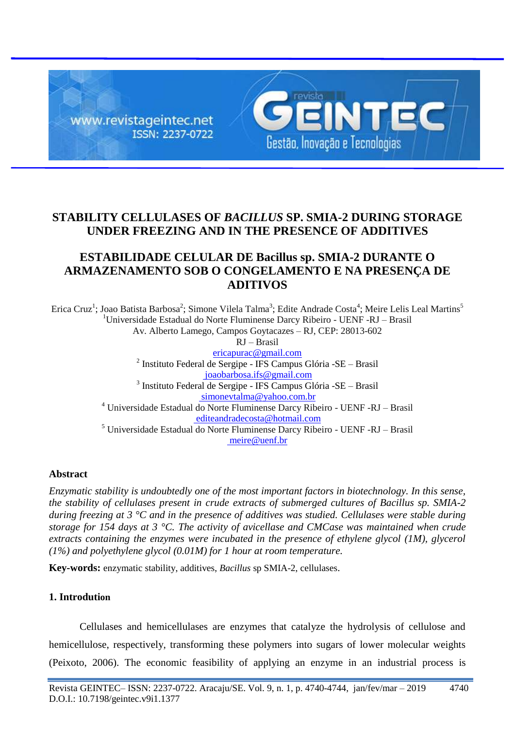

# **STABILITY CELLULASES OF** *BACILLUS* **SP. SMIA-2 DURING STORAGE UNDER FREEZING AND IN THE PRESENCE OF ADDITIVES**

# **ESTABILIDADE CELULAR DE Bacillus sp. SMIA-2 DURANTE O ARMAZENAMENTO SOB O CONGELAMENTO E NA PRESENÇA DE ADITIVOS**

Erica Cruz<sup>1</sup>; Joao Batista Barbosa<sup>2</sup>; Simone Vilela Talma<sup>3</sup>; Edite Andrade Costa<sup>4</sup>; Meire Lelis Leal Martins<sup>5</sup>  $1$ Universidade Estadual do Norte Fluminense Darcy Ribeiro - UENF -RJ – Brasil Av. Alberto Lamego, Campos Goytacazes – RJ, CEP: 28013-602 RJ – Brasil ericapurac@gmail.com <sup>2</sup> Instituto Federal de Sergipe - IFS Campus Glória -SE - Brasil joaobarbosa.ifs@gmail.com 3 Instituto Federal de Sergipe - IFS Campus Glória -SE – Brasil simonevtalma@yahoo.com.br <sup>4</sup> Universidade Estadual do Norte Fluminense Darcy Ribeiro - UENF -RJ – Brasil editeandradecosta@hotmail.com <sup>5</sup> Universidade Estadual do Norte Fluminense Darcy Ribeiro - UENF -RJ – Brasil meire@uenf.br

### **Abstract**

*Enzymatic stability is undoubtedly one of the most important factors in biotechnology. In this sense, the stability of cellulases present in crude extracts of submerged cultures of Bacillus sp. SMIA-2 during freezing at 3 °C and in the presence of additives was studied. Cellulases were stable during storage for 154 days at 3 °C. The activity of avicellase and CMCase was maintained when crude extracts containing the enzymes were incubated in the presence of ethylene glycol (1M), glycerol (1%) and polyethylene glycol (0.01M) for 1 hour at room temperature.*

**Key-words:** enzymatic stability, additives, *Bacillus* sp SMIA-2, cellulases.

## **1. Introdution**

Cellulases and hemicellulases are enzymes that catalyze the hydrolysis of cellulose and hemicellulose, respectively, transforming these polymers into sugars of lower molecular weights (Peixoto, 2006). The economic feasibility of applying an enzyme in an industrial process is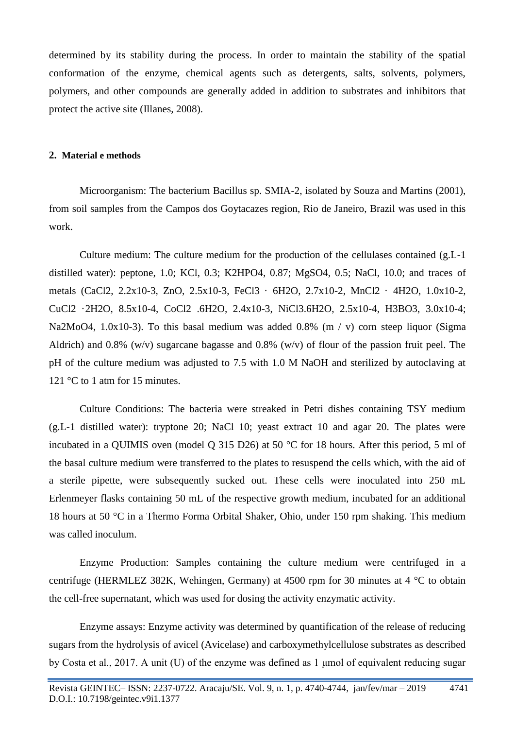determined by its stability during the process. In order to maintain the stability of the spatial conformation of the enzyme, chemical agents such as detergents, salts, solvents, polymers, polymers, and other compounds are generally added in addition to substrates and inhibitors that protect the active site (Illanes, 2008).

### **2. Material e methods**

Microorganism: The bacterium Bacillus sp. SMIA-2, isolated by Souza and Martins (2001), from soil samples from the Campos dos Goytacazes region, Rio de Janeiro, Brazil was used in this work.

Culture medium: The culture medium for the production of the cellulases contained (g.L-1 distilled water): peptone, 1.0; KCl, 0.3; K2HPO4, 0.87; MgSO4, 0.5; NaCl, 10.0; and traces of metals (CaCl2, 2.2x10-3, ZnO, 2.5x10-3, FeCl3 · 6H2O, 2.7x10-2, MnCl2 · 4H2O, 1.0x10-2, CuCl2 ·2H2O, 8.5x10-4, CoCl2 .6H2O, 2.4x10-3, NiCl3.6H2O, 2.5x10-4, H3BO3, 3.0x10-4; Na2MoO4, 1.0x10-3). To this basal medium was added 0.8% (m / v) corn steep liquor (Sigma Aldrich) and 0.8% (w/v) sugarcane bagasse and 0.8% (w/v) of flour of the passion fruit peel. The pH of the culture medium was adjusted to 7.5 with 1.0 M NaOH and sterilized by autoclaving at 121 °C to 1 atm for 15 minutes.

Culture Conditions: The bacteria were streaked in Petri dishes containing TSY medium (g.L-1 distilled water): tryptone 20; NaCl 10; yeast extract 10 and agar 20. The plates were incubated in a QUIMIS oven (model Q 315 D26) at 50 °C for 18 hours. After this period, 5 ml of the basal culture medium were transferred to the plates to resuspend the cells which, with the aid of a sterile pipette, were subsequently sucked out. These cells were inoculated into 250 mL Erlenmeyer flasks containing 50 mL of the respective growth medium, incubated for an additional 18 hours at 50 °C in a Thermo Forma Orbital Shaker, Ohio, under 150 rpm shaking. This medium was called inoculum.

Enzyme Production: Samples containing the culture medium were centrifuged in a centrifuge (HERMLEZ 382K, Wehingen, Germany) at 4500 rpm for 30 minutes at 4 °C to obtain the cell-free supernatant, which was used for dosing the activity enzymatic activity.

Enzyme assays: Enzyme activity was determined by quantification of the release of reducing sugars from the hydrolysis of avicel (Avicelase) and carboxymethylcellulose substrates as described by Costa et al., 2017. A unit (U) of the enzyme was defined as 1 μmol of equivalent reducing sugar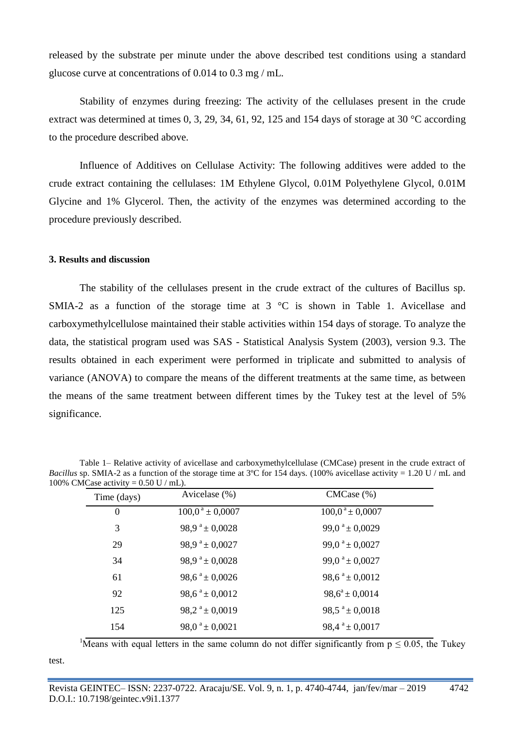released by the substrate per minute under the above described test conditions using a standard glucose curve at concentrations of 0.014 to 0.3 mg / mL.

Stability of enzymes during freezing: The activity of the cellulases present in the crude extract was determined at times 0, 3, 29, 34, 61, 92, 125 and 154 days of storage at 30 °C according to the procedure described above.

Influence of Additives on Cellulase Activity: The following additives were added to the crude extract containing the cellulases: 1M Ethylene Glycol, 0.01M Polyethylene Glycol, 0.01M Glycine and 1% Glycerol. Then, the activity of the enzymes was determined according to the procedure previously described.

#### **3. Results and discussion**

The stability of the cellulases present in the crude extract of the cultures of Bacillus sp. SMIA-2 as a function of the storage time at  $3 \text{ °C}$  is shown in Table 1. Avicellase and carboxymethylcellulose maintained their stable activities within 154 days of storage. To analyze the data, the statistical program used was SAS - Statistical Analysis System (2003), version 9.3. The results obtained in each experiment were performed in triplicate and submitted to analysis of variance (ANOVA) to compare the means of the different treatments at the same time, as between the means of the same treatment between different times by the Tukey test at the level of 5% significance.

Table 1– Relative activity of avicellase and carboxymethylcellulase (CMCase) present in the crude extract of *Bacillus* sp. SMIA-2 as a function of the storage time at 3°C for 154 days. (100% avicellase activity = 1.20 U / mL and 100% CMCase activity =  $0.50$  U / mL).

| Time (days)    | Avicelase $(\%)$               | CMCase (%)                   |
|----------------|--------------------------------|------------------------------|
| $\overline{0}$ | $100,0^{\text{ a}} \pm 0,0007$ | $100,0^a \pm 0,0007$         |
| 3              | 98,9 $^{\circ}$ ± 0,0028       | 99,0 $a$ ± 0,0029            |
| 29             | 98,9 $^{\circ}$ ± 0,0027       | 99,0 <sup>a</sup> ± 0,0027   |
| 34             | 98,9 <sup>a</sup> ± 0,0028     | 99,0 $^{\circ}$ ± 0,0027     |
| 61             | $98,6^{\text{a}} \pm 0,0026$   | $98.6^{\text{a}} \pm 0.0012$ |
| 92             | 98,6 $^a$ ± 0,0012             | $98.6^a \pm 0.0014$          |
| 125            | 98,2 $a \pm 0,0019$            | $98.5^{\text{a}} \pm 0.0018$ |
| 154            | 98,0 <sup>a</sup> ± 0,0021     | $98.4^{\text{a}} \pm 0.0017$ |

<sup>1</sup>Means with equal letters in the same column do not differ significantly from  $p \le 0.05$ , the Tukey

test.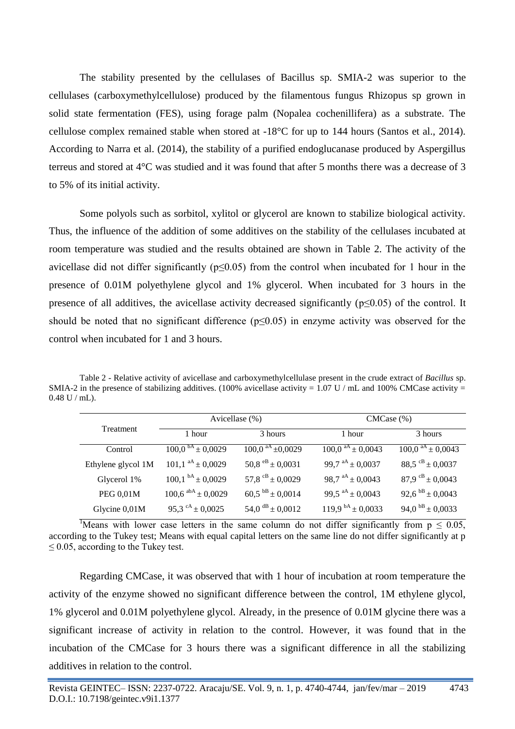The stability presented by the cellulases of Bacillus sp. SMIA-2 was superior to the cellulases (carboxymethylcellulose) produced by the filamentous fungus Rhizopus sp grown in solid state fermentation (FES), using forage palm (Nopalea cochenillifera) as a substrate. The cellulose complex remained stable when stored at -18°C for up to 144 hours (Santos et al., 2014). According to Narra et al. (2014), the stability of a purified endoglucanase produced by Aspergillus terreus and stored at 4°C was studied and it was found that after 5 months there was a decrease of 3 to 5% of its initial activity.

Some polyols such as sorbitol, xylitol or glycerol are known to stabilize biological activity. Thus, the influence of the addition of some additives on the stability of the cellulases incubated at room temperature was studied and the results obtained are shown in Table 2. The activity of the avicellase did not differ significantly ( $p \le 0.05$ ) from the control when incubated for 1 hour in the presence of 0.01M polyethylene glycol and 1% glycerol. When incubated for 3 hours in the presence of all additives, the avicellase activity decreased significantly ( $p \le 0.05$ ) of the control. It should be noted that no significant difference ( $p \le 0.05$ ) in enzyme activity was observed for the control when incubated for 1 and 3 hours.

Table 2 - Relative activity of avicellase and carboxymethylcellulase present in the crude extract of *Bacillus* sp. SMIA-2 in the presence of stabilizing additives. (100% avicellase activity =  $1.07$  U / mL and 100% CMCase activity = 0.48 U / mL).

| Treatment          | Avicellase (%)           |                                 | CMCase (%)                     |                            |
|--------------------|--------------------------|---------------------------------|--------------------------------|----------------------------|
|                    | 1 hour                   | 3 hours                         | 1 hour                         | 3 hours                    |
| Control            | $100.0^{bA} \pm 0.0029$  | $\overline{100,0}^{aA}$ ±0,0029 | $100,0$ <sup>aA</sup> ± 0,0043 | $100.0^{aA} \pm 0.0043$    |
| Ethylene glycol 1M | $101.1^{aA} \pm 0.0029$  | 50,8 $e^{B}$ ± 0,0031           | 99,7 $aA \pm 0.0037$           | $88.5^{CB} \pm 0.0037$     |
| Glycerol 1%        | $100,1^{bA} \pm 0,0029$  | 57,8 $\rm{^{CB}}$ ± 0,0029      | 98,7 $aA \pm 0.0043$           | 87,9 $\rm{^{CB}}$ ± 0,0043 |
| <b>PEG 0,01M</b>   | $100,6$ abA $\pm$ 0,0029 | $60.5^{bB} \pm 0.0014$          | 99,5 $aA \pm 0.0043$           | 92,6 $bB \pm 0.0043$       |
| Glycine 0,01M      | 95,3 $\rm{cA}$ ± 0,0025  | 54,0 $\rm^{dB}$ ± 0,0012        | 119,9 $\rm{^{bA}}$ ± 0,0033    | 94,0 $b$ B $\pm$ 0,0033    |

<sup>1</sup>Means with lower case letters in the same column do not differ significantly from  $p \le 0.05$ , according to the Tukey test; Means with equal capital letters on the same line do not differ significantly at p  $\leq$  0.05, according to the Tukey test.

Regarding CMCase, it was observed that with 1 hour of incubation at room temperature the activity of the enzyme showed no significant difference between the control, 1M ethylene glycol, 1% glycerol and 0.01M polyethylene glycol. Already, in the presence of 0.01M glycine there was a significant increase of activity in relation to the control. However, it was found that in the incubation of the CMCase for 3 hours there was a significant difference in all the stabilizing additives in relation to the control.